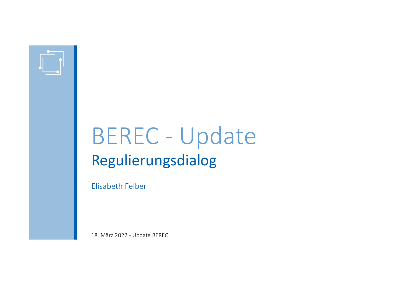

# BEREC - Update Regulierungsdialog

Elisabeth Felber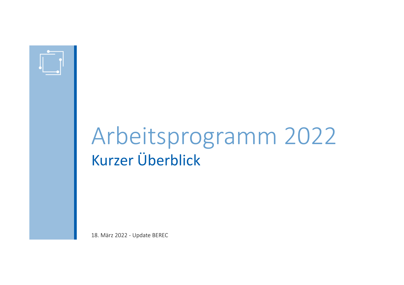

# Arbeitsprogramm 2022Kurzer Überblick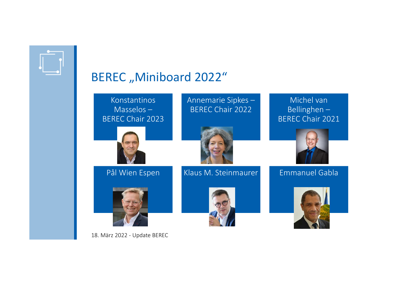

### BEREC "Miniboard 2022"

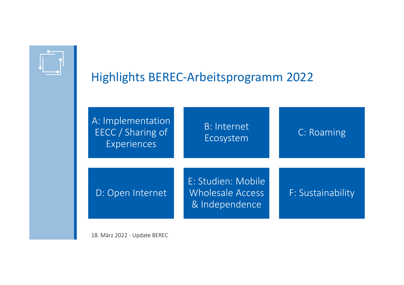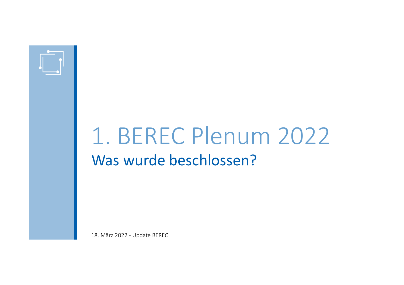

# 1. BEREC Plenum 2022Was wurde beschlossen?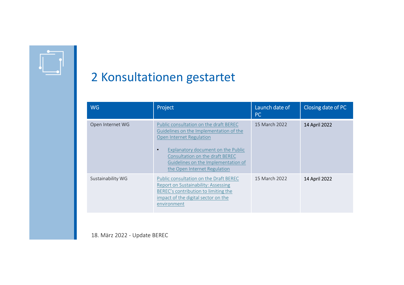

### 2 Konsultationen gestartet

| <b>WG</b>         | Project                                                                                                                                                                                                                                                       | Launch date of<br><b>PC</b> | Closing date of PC |
|-------------------|---------------------------------------------------------------------------------------------------------------------------------------------------------------------------------------------------------------------------------------------------------------|-----------------------------|--------------------|
| Open Internet WG  | Public consultation on the draft BEREC<br>Guidelines on the Implementation of the<br>Open Internet Regulation<br>Explanatory document on the Public<br>Consultation on the draft BEREC<br>Guidelines on the Implementation of<br>the Open Internet Regulation | 15 March 2022               | 14 April 2022      |
| Sustainability WG | Public consultation on the Draft BEREC<br>Report on Sustainability: Assessing<br>BEREC's contribution to limiting the<br>impact of the digital sector on the<br>environment                                                                                   | 15 March 2022               | 14 April 2022      |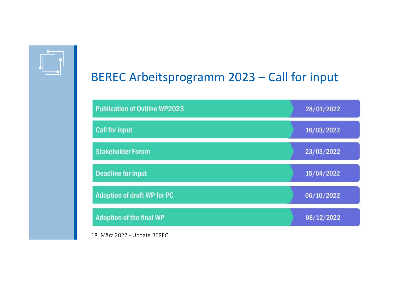

### BEREC Arbeitsprogramm 2023 – Call for input

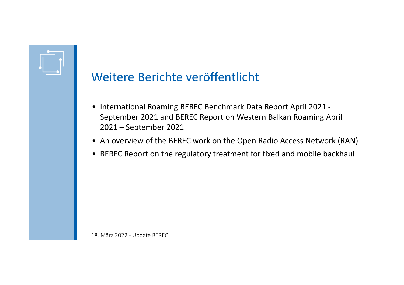

#### Weitere Berichte veröffentlicht

- International Roaming BEREC Benchmark Data Report April 2021 September 2021 and BEREC Report on Western Balkan Roaming April 2021 – September 2021
- An overview of the BEREC work on the Open Radio Access Network (RAN)
- BEREC Report on the regulatory treatment for fixed and mobile backhaul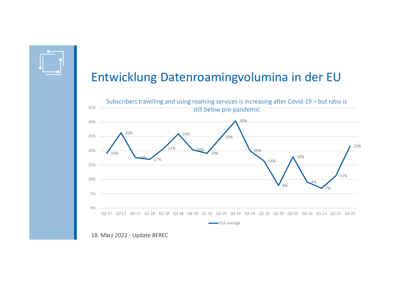

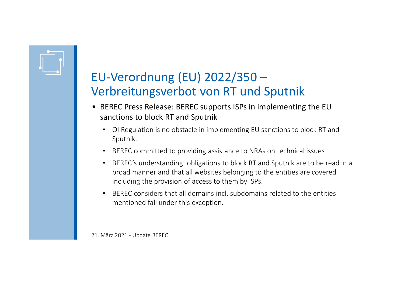

- BEREC Press Release: BEREC supports ISPs in implementing the EU sanctions to block RT and Sputnik
	- • OI Regulation is no obstacle in implementing EU sanctions to block RT and Sputnik.
	- BEREC committed to providing assistance to NRAs on technical issues
	- • BEREC's understanding: obligations to block RT and Sputnik are to be read in a broad manner and that all websites belonging to the entities are covered including the provision of access to them by ISPs.
	- • BEREC considers that all domains incl. subdomains related to the entities mentioned fall under this exception.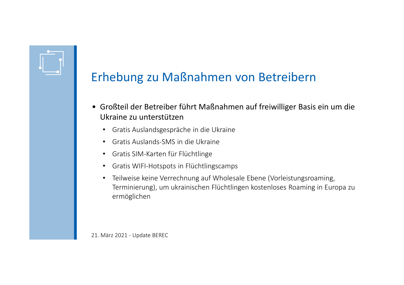

- Großteil der Betreiber führt Maßnahmen auf freiwilliger Basis ein um die Ukraine zu unterstützen
	- Gratis Auslandsgespräche in die Ukraine
	- Gratis Auslands-SMS in die Ukraine
	- Gratis SIM-Karten für Flüchtlinge
	- Gratis WIFI-Hotspots in Flüchtlingscamps
	- Teilweise keine Verrechnung auf Wholesale Ebene (Vorleistungsroaming, Terminierung), um ukrainischen Flüchtlingen kostenloses Roaming in Europa zu ermöglichen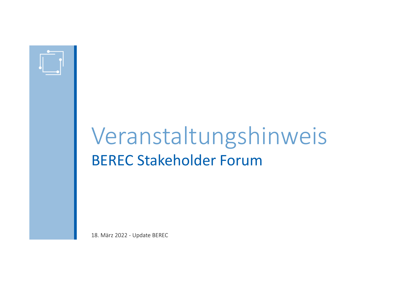

## VeranstaltungshinweisBEREC Stakeholder Forum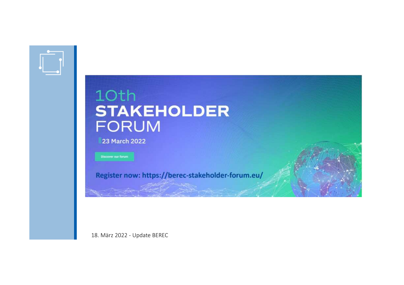

### 10th **STAKEHOLDER FORUM**

23 March 2022

Discover our forum

Register now: https://berec-stakeholder-forum.eu/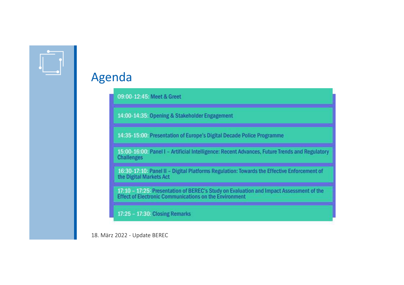

#### Agenda

09:00-12:45: Meet & Greet

14:00-14:35: Opening & Stakeholder Engagement

14:35-15:00: Presentation of Europe's Digital Decade Police Programme

15:00-16:00: Panel I - Artificial Intelligence: Recent Advances, Future Trends and Regulatory **Challenges** 

16:30-17:10: Panel II - Digital Platforms Regulation: Towards the Effective Enforcement of the Digital Markets Act

17:10 - 17:25: Presentation of BEREC's Study on Evaluation and Impact Assessment of the Effect of Electronic Communications on the Environment

17:25 - 17:30: Closing Remarks